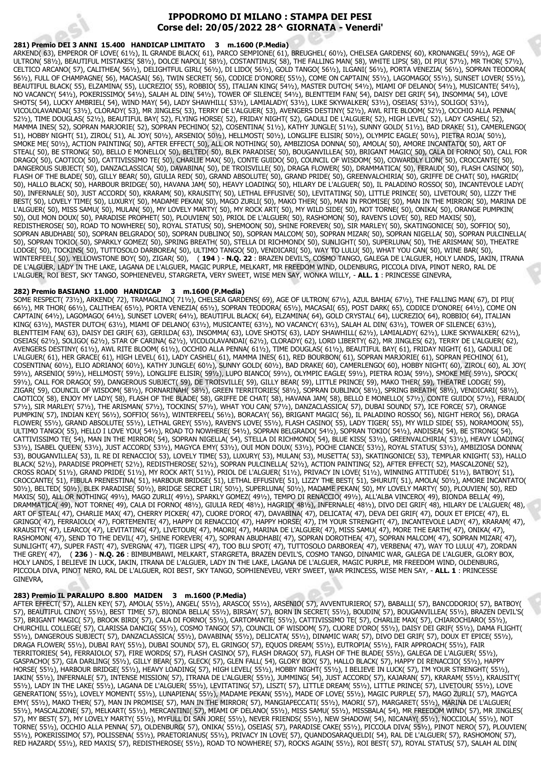# **IPPODROMO DI MILANO : STAMPA DEI PESI Corse del: 20/05/2022 28^ GIORNATA - Venerdi'**

## **281) Premio DEI 3 ANNI 15.400 HANDICAP LIMITATO 3 m.1600 (P.Media)**

ARKEND( 63), EMPEROR OF LOVE( 61½), IL GRANDE BLACK( 61), PARCO SEMPIONE( 61), BREUGHEL( 60½), CHELSEA GARDENS( 60), KRONANGEL( 59½), AGE OF ULTRON( 58½), BEAUTIFUL MISTAKES( 58½), DOLCE NAPOLI( 58½), COSTANTINUS( 58), THE FALLING MAN( 58), WHITE LIPS( 58), DI PIU( 57½), MR THOR( 57½), CELTICO ARCANO( 57), CALITHEA( 56½), DELIGHTFUL GIRL( 56½), DI LIDO( 56½), GOLD TANGO( 56½), ILGANI( 56½), PORTA VENEZIA( 56½), SOPRAN TEODORA( 56½), FULL OF CHAMPAGNE( 56), MACASAI( 56), TWIN SECRET( 56), CODICE D'ONORE( 55½), COME ON CAPTAIN( 55½), LAGOMAGO( 55½), SUNSET LOVER( 55½), BEAUTIFUL BLACK( 55), ELZAMINA( 55), LUCREZIO( 55), ROBBIO( 55), ITALIAN KING( 54½), MASTER DUTCH( 54½), MIAMI OF DELANO( 54½), MUSICANTE( 54½), NO VACANCY( 54½), POKERISSIMO( 54½), SALAH AL DIN( 54½), TOWER OF SILENCE( 54½), BLENTTEIM FAN( 54), DAISY DEI GRIF( 54), INSOMMA( 54), LOVE SHOTS( 54), LUCKY AMBRIEL( 54), WIND MAY( 54), LADY SHAWHILL( 53½), LAMIALADY( 53½), LUKE SKYWALKER( 53½), OSEIAS( 53½), SOLIGO( 53½), VICOLOLAVANDAI( 53½), CLORADY( 53), MR JINGLES( 53), TERRY DE L'ALGUER( 53), AVENGERS DESTINY( 52½), AWL RITE BLOOM( 52½), OCCHIO ALLA PENNA( 52½), TIME DOUGLAS( 52½), BEAUTIFUL BAY( 52), FLYING HORSE( 52), FRIDAY NIGHT( 52), GADULI DE L'ALGUER( 52), HIGH LEVEL( 52), LADY CASHEL( 52), MAMMA INES( 52), SOPRAN MARJORIE( 52), SOPRAN PECHINO( 52), COSENTINA( 51½), KATHY JUNGLE( 51½), SUNNY GOLD( 51½), BAD DRAKE( 51), CAMERLENGO( 51), HOBBY NIGHT( 51), ZIROL( 51), AL JOY( 50½), ARSENIO( 50½), HELLMOST( 50½), LONGLIFE ELISIR( 50½), OLYMPIC EAGLE( 50½), PIETRA ROJA( 50½), SMOKE ME( 50½), ACTION PAINTING( 50), AFTER EFFECT( 50), ALL OR NOTHING( 50), AMBIZIOSA DONNA( 50), AMOLA( 50), AMORE INCANTATO( 50), ART OF STEAL( 50), BE STRONG( 50), BELLO E MONELLO( 50), BELTED( 50), BLEK PARADISE( 50), BOUGANVILLEA( 50), BRIGANT MAGIC( 50), CALA DI FORNO( 50), CALL FOR DRAGO( 50), CAOTICO( 50), CATTIVISSIMO TE( 50), CHARLIE MAX( 50), CONTE GUIDO( 50), COUNCIL OF WISDOM( 50), COWARDLY LION( 50), CROCCANTE( 50), DANGEROUS SUBJECT( 50), DANZACLASSICA( 50), DAVABINA( 50), DE TROISVILLE( 50), DRAGA FLOWER( 50), DRAMMATICA( 50), FERAUD( 50), FLASH CASINO( 50), FLASH OF THE BLADE( 50), GILLY BEAR( 50), GIULIA RED( 50), GRAND ABSOLUTE( 50), GRAND PRIDE( 50), GREENVALCHIRIA( 50), GRIFFE DE CHAT( 50), HAGRID( 50), HALLO BLACK( 50), HARBOUR BRIDGE( 50), HAVANA JAM( 50), HEAVY LOADING( 50), HILARY DE L'ALGUER( 50), IL PALADINO ROSSO( 50), INCANTEVOLE LADY( 50), INFERNALE( 50), JUST ACCORD( 50), KRARAM( 50), KRAUSITY( 50), LETHAL EFFUSIVE( 50), LEVITATING( 50), LITTLE PRINCE( 50), LIVETOUR( 50), LIZZY THE BEST( 50), LOVELY TIME( 50), LUXURY( 50), MADAME PEKAN( 50), MAGO ZURLI( 50), MAKO THER( 50), MAN IN PROMISE( 50), MAN IN THE MIRROR( 50), MARINA DE L'ALGUER( 50), MISS SAMU( 50), MULAN( 50), MY LOVELY MARTY( 50), MY ROCK ART( 50), MY WILD SIDE( 50), NOT TORNE( 50), ONIKA( 50), ORANGE PUMPKIN( 50), OUI MON DOUX( 50), PARADISE PROPHET( 50), PLOUVIEN( 50), PRIOL DE L'ALGUER( 50), RASHOMON( 50), RAVEN'S LOVE( 50), RED MAXIS( 50), REDISTHEROSE( 50), ROAD TO NOWHERE( 50), ROYAL STATUS( 50), SHEMOON( 50), SHINE FOREVER( 50), SIR MARLEY( 50), SKATINGONICE( 50), SOFFIO( 50), SOPRAN ABUDHABI( 50), SOPRAN BELGRADO( 50), SOPRAN DUBLINO( 50), SOPRAN MALCOM( 50), SOPRAN MIZAR( 50), SOPRAN NIGELLA( 50), SOPRAN PULCINELLA( 50), SOPRAN TOKIO( 50), SPARKLY GOMEZ( 50), SPRING BREATH( 50), STELLA DI RICHMOND( 50), SUNLIGHT( 50), SUPERLUNA( 50), THE ARISMAN( 50), THEATRE LODGE( 50), TOCKINS( 50), TUTTOSOLO DARBOREA( 50), ULTIMO TANGO( 50), VENDICARI( 50), WAY TO LULU( 50), WHAT YOU CAN( 50), WINE BAR( 50), WINTERFEEL( 50), YELLOWSTONE BOY( 50), ZIGAR( 50), ( **194** ) - **N.Q. 22** : BRAZEN DEVIL'S, COSMO TANGO, GALEGA DE L'ALGUER, HOLY LANDS, IAKIN, ITRANA DE L'ALGUER, LADY IN THE LAKE, LAGANA DE L'ALGUER, MAGIC PURPLE, MELKART, MR FREEDOM WIND, OLDENBURG, PICCOLA DIVA, PINOT NERO, RAL DE L'ALGUER, ROI BEST, SKY TANGO, SOPHIENEVEU, STARGRETA, VERY SWEET, WISE MEN SAY, WONKA WILLY, - **ALL. 1** : PRINCESSE GINEVRA,

## **282) Premio BASIANO 11.000 HANDICAP 3 m.1600 (P.Media)**

SOME RESPECT( 73½), ARKEND( 72), TRAMAGLINO( 71½), CHELSEA GARDENS( 69), AGE OF ULTRON( 67½), AZUL BAHIA( 67½), THE FALLING MAN( 67), DI PIU( 66½), MR THOR( 66½), CALITHEA( 65½), PORTA VENEZIA( 65½), SOPRAN TEODORA( 65½), MACASAI( 65), POST DARK( 65), CODICE D'ONORE( 64½), COME ON CAPTAIN( 64½), LAGOMAGO( 64½), SUNSET LOVER( 64½), BEAUTIFUL BLACK( 64), ELZAMINA( 64), GOLD CRYSTAL( 64), LUCREZIO( 64), ROBBIO( 64), ITALIAN KING( 63½), MASTER DUTCH( 63½), MIAMI OF DELANO( 63½), MUSICANTE( 63½), NO VACANCY( 63½), SALAH AL DIN( 63½), TOWER OF SILENCE( 63½), BLENTTEIM FAN( 63), DAISY DEI GRIF( 63), GERILDA( 63), INSOMMA( 63), LOVE SHOTS( 63), LADY SHAWHILL( 62½), LAMIALADY( 62½), LUKE SKYWALKER( 62½), OSEIAS( 62½), SOLIGO( 62½), STAR OF CARINA( 62½), VICOLOLAVANDAI( 62½), CLORADY( 62), LORD LIBERTY( 62), MR JINGLES( 62), TERRY DE L'ALGUER( 62), AVENGERS DESTINY( 61½), AWL RITE BLOOM( 61½), OCCHIO ALLA PENNA( 61½), TIME DOUGLAS( 61½), BEAUTIFUL BAY( 61), FRIDAY NIGHT( 61), GADULI DE L'ALGUER( 61), HER GRACE( 61), HIGH LEVEL( 61), LADY CASHEL( 61), MAMMA INES( 61), RED BOURBON( 61), SOPRAN MARJORIE( 61), SOPRAN PECHINO( 61), COSENTINA( 60½), ELIO ADRIANO( 60½), KATHY JUNGLE( 60½), SUNNY GOLD( 60½), BAD DRAKE( 60), CAMERLENGO( 60), HOBBY NIGHT( 60), ZIROL( 60), AL JOY( 59½), ARSENIO( 59½), HELLMOST( 59½), LONGLIFE ELISIR( 59½), LUPO BIANCO( 59½), OLYMPIC EAGLE( 59½), PIETRA ROJA( 59½), SMOKE ME( 59½), SPOCK( 59½), CALL FOR DRAGO( 59), DANGEROUS SUBJECT( 59), DE TROISVILLE( 59), GILLY BEAR( 59), LITTLE PRINCE( 59), MAKO THER( 59), THEATRE LODGE( 59), ZIGAR( 59), COUNCIL OF WISDOM( 58½), FORNARINAH( 58½), GREEN TERRITORIES( 58½), SOPRAN DUBLINO( 58½), SPRING BREATH( 58½), VENDICARI( 58½), CAOTICO( 58), ENJOY MY LADY( 58), FLASH OF THE BLADE( 58), GRIFFE DE CHAT( 58), HAVANA JAM( 58), BELLO E MONELLO( 57½), CONTE GUIDO( 57½), FERAUD( 57½), SIR MARLEY( 57½), THE ARISMAN( 57½), TOCKINS( 57½), WHAT YOU CAN( 57½), DANZACLASSICA( 57), DUBAI SOUND( 57), ICE FORCE( 57), ORANGE PUMPKIN( 57), INDIAN KEY( 56½), SOFFIO( 56½), WINTERFEEL( 56½), BORACAY( 56), BRIGANT MAGIC( 56), IL PALADINO ROSSO( 56), NIGHT HERO( 56), DRAGA FLOWER( 55½), GRAND ABSOLUTE( 55½), LETHAL GREY( 55½), RAVEN'S LOVE( 55½), FLASH CASINO( 55), LADY TIGER( 55), MY WILD SIDE( 55), NORAMOON( 55), ULTIMO TANGO( 55), HELLO I LOVE YOU( 54½), ROAD TO NOWHERE( 54½), SOPRAN BELGRADO( 54½), SOPRAN TOKIO( 54½), ANDISEA( 54), BE STRONG( 54), CATTIVISSIMO TE( 54), MAN IN THE MIRROR( 54), SOPRAN NIGELLA( 54), STELLA DI RICHMOND( 54), BLUE KISS( 53½), GREENVALCHIRIA( 53½), HEAVY LOADING( 53½), ISABEL QUEEN( 53½), JUST ACCORD( 53½), MAGYCA EMY( 53½), OUI MON DOUX( 53½), POCHE CIANCE( 53½), ROYAL STATUS( 53½), AMBIZIOSA DONNA( 53), BOUGANVILLEA( 53), IL RE DI RENACCIO( 53), LOVELY TIME( 53), LUXURY( 53), MULAN( 53), MUSETTA( 53), SKATINGONICE( 53), TEMPLAR KNIGHT( 53), HALLO BLACK( 52½), PARADISE PROPHET( 52½), REDISTHEROSE( 52½), SOPRAN PULCINELLA( 52½), ACTION PAINTING( 52), AFTER EFFECT( 52), MASCALZONE( 52), CROSS ROAD( 51½), GRAND PRIDE( 51½), MY ROCK ART( 51½), PRIOL DE L'ALGUER( 51½), PRIVACY IN LOVE( 51½), WINNING ATTITUDE( 51½), BATBOY( 51), CROCCANTE( 51), FIBULA PRENESTINA( 51), HARBOUR BRIDGE( 51), LETHAL EFFUSIVE( 51), LIZZY THE BEST( 51), SHURUT( 51), AMOLA( 50½), AMORE INCANTATO( 50½), BELTED( 50½), BLEK PARADISE( 50½), BRIDGE SECRET LIR( 50½), SUPERLUNA( 50½), MADAME PEKAN( 50), MY LOVELY MARTY( 50), PLOUVIEN( 50), RED MAXIS( 50), ALL OR NOTHING( 49½), MAGO ZURLI( 49½), SPARKLY GOMEZ( 49½), TEMPO DI RENACCIO( 49½), ALL'ALBA VINCERO( 49), BIONDA BELLA( 49), DRAMMATICA( 49), NOT TORNE( 49), CALA DI FORNO( 48½), GIULIA RED( 48½), HAGRID( 48½), INFERNALE( 48½), DIVO DEI GRIF( 48), HILARY DE L'ALGUER( 48), ART OF STEAL( 47), CHARLIE MAX( 47), CHERRY PICKER( 47), CUORE D'ORO( 47), DAVABINA( 47), DELICATA( 47), DEVA DEI GRIF( 47), DOUX ET EPICE( 47), EL GRINGO( 47), FERRAIOLO( 47), FORTEMENTE( 47), HAPPY DI RENACCIO( 47), HAPPY HORSE( 47), I'M YOUR STRENGHT( 47), INCANTEVOLE LADY( 47), KRARAM( 47), KRAUSITY( 47), LEARCO( 47), LEVITATING( 47), LIVETOUR( 47), MAORI( 47), MARINA DE L'ALGUER( 47), MISS SAMU( 47), MORE THE EARTH( 47), ONIKA( 47), RASHOMON( 47), SEND TO THE DEVIL( 47), SHINE FOREVER( 47), SOPRAN ABUDHABI( 47), SOPRAN DOROTHEA( 47), SOPRAN MALCOM( 47), SOPRAN MIZAR( 47), SUNLIGHT( 47), SUPER FAST( 47), SVERGNA( 47), TIGER LIPS( 47), TOO BLU SPOT( 47), TUTTOSOLO DARBOREA( 47), VERBENA( 47), WAY TO LULU( 47), ZORDAN THE GREY( 47), ( **236** ) - **N.Q. 26** : BIMBUMBAWI, MELKART, STARGRETA, BRAZEN DEVIL'S, COSMO TANGO, DINAMIC WAR, GALEGA DE L'ALGUER, GLORY BOX, HOLY LANDS, I BELIEVE IN LUCK, IAKIN, ITRANA DE L'ALGUER, LADY IN THE LAKE, LAGANA DE L'ALGUER, MAGIC PURPLE, MR FREEDOM WIND, OLDENBURG, PICCOLA DIVA, PINOT NERO, RAL DE L'ALGUER, ROI BEST, SKY TANGO, SOPHIENEVEU, VERY SWEET, WAR PRINCESS, WISE MEN SAY, - **ALL. 1** : PRINCESSE **GINEVRA** 

#### **283) Premio IL PARALUPO 8.800 MAIDEN 3 m.1600 (P.Media)**

AFTER EFFECT( 57), ALLEN KEY( 57), AMOLA( 55½), ANGEL( 55½), ARASCO( 55½), ARSENIO( 57), AVVENTURIERO( 57), BABALLI( 57), BANCODORIO( 57), BATBOY( 57), BEAUTIFUL CINDY( 55½), BEST TIME( 57), BIONDA BELLA( 55½), BIRSAY( 57), BORN IN SECRET( 55½), BOUDIN( 57), BOUGANVILLEA( 55½), BRAZEN DEVIL'S( 57), BRIGANT MAGIC( 57), BROOK BIRD( 57), CALA DI FORNO( 55½), CARTOMANTE( 55½), CATTIVISSIMO TE( 57), CHARLIE MAX( 57), CHIAROCHIARO( 55½), CHURCHILL COLLEGE( 57), CLARISSA DANCIG( 55½), COSMO TANGO( 57), COUNCIL OF WISDOM( 57), CUORE D'ORO( 55½), DAISY DEI GRIF( 55½), DAMA FLIGHT( 55½), DANGEROUS SUBJECT( 57), DANZACLASSICA( 55½), DAVABINA( 55½), DELICATA( 55½), DINAMIC WAR( 57), DIVO DEI GRIF( 57), DOUX ET EPICE( 55½), DRAGA FLOWER( 55½), DUBAI RAY( 55½), DUBAI SOUND( 57), EL GRINGO( 57), EQUOS DREAM( 55½), EUTROPIA( 55½), FAIR APPROACH( 55½), FAIR TERRITORIES( 54), FERRAIOLO( 57), FIRE WORDS( 57), FLASH CASINO( 57), FLASH DRAGO( 57), FLASH OF THE BLADE( 55½), GALEGA DE L'ALGUER( 55½), GASPACHO( 57), GIA DARLING( 55½), GILLY BEAR( 57), GLECK( 57), GLEN FALL( 54), GLORY BOX( 57), HALLO BLACK( 57), HAPPY DI RENACCIO( 55½), HAPPY HORSE( 55½), HARBOUR BRIDGE( 55½), HEAVY LOADING( 57), HIGH LEVEL( 55½), HOBBY NIGHT( 55½), I BELIEVE IN LUCK( 57), I'M YOUR STRENGHT( 551⁄2), IAKIN( 55½), INFERNALE( 57), INTENSE MISSION( 57), ITRANA DE L'ALGUER( 55½), JUMMING( 54), JUST ACCORD( 57), KAJARAN( 57), KRARAM( 55½), KRAUSITY( 55½), LADY IN THE LAKE( 55½), LAGANA DE L'ALGUER( 55½), LEVITATING( 57), LISZT( 57), LITTLE DREAM( 55½), LITTLE PRINCE( 57), LIVETOUR( 55½), LOVE GENERATION( 55½), LOVELY MOMENT( 55½), LUNAPIENA( 55½), MADAME PEKAN( 55½), MADE OF LOVE( 55½), MAGIC PURPLE( 57), MAGO ZURLI( 57), MAGYCA EMY( 55½), MAKO THER( 57), MAN IN PROMISE( 57), MAN IN THE MIRROR( 57), MANGIAPECCATI( 55½), MAORI( 57), MARGARET( 55½), MARINA DE L'ALGUER( 55½), MASCALZONE( 57), MELKART( 55½), MERCANTINI( 57), MIAMI OF DELANO( 55½), MISS SAMU( 55½), MISSBALA( 54), MR FREEDOM WIND( 57), MR JINGLES( 57), MY BEST( 57), MY LOVELY MARTY( 55½), MYFULL DI SAN JORE( 55½), NEVER FRIENDS( 55½), NEW SHADOW( 54), NICANAY( 55½), NOCCIOLA( 55½), NOT TORNE( 55½), OCCHIO ALLA PENNA( 57), OLDENBURG( 57), ONIKA( 55½), OSEIAS( 57), PARADISE CAKE( 55½), PICCOLA DIVA( 55½), PINOT NERO( 57), PLOUVIEN( 55½), POKERISSIMO( 57), POLISSENA( 55½), PRAETORIANUS( 55½), PRIVACY IN LOVE( 57), QUANDOSARAQUELDI( 54), RAL DE L'ALGUER( 57), RASHOMON( 57), RED HAZARD( 55½), RED MAXIS( 57), REDISTHEROSE( 55½), ROAD TO NOWHERE( 57), ROCKS AGAIN( 55½), ROI BEST( 57), ROYAL STATUS( 57), SALAH AL DIN(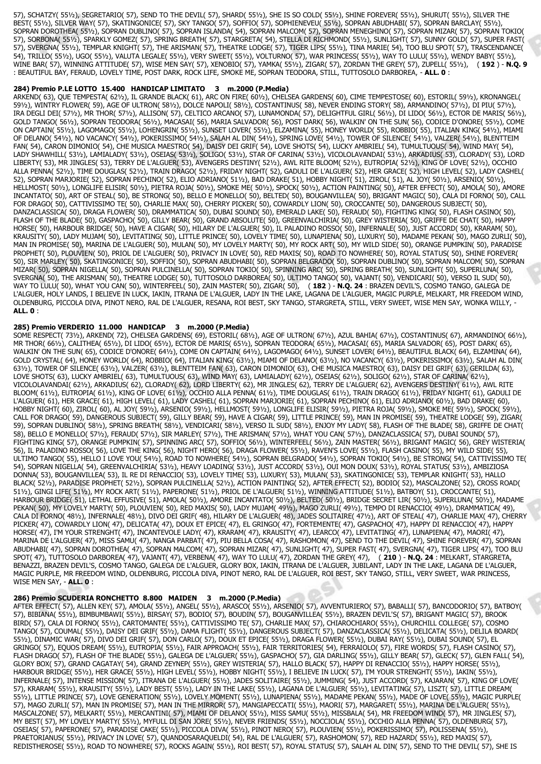57), SCHATZY( 55½), SEGRETARIO( 57), SEND TO THE DEVIL( 57), SHARD( 55½), SHE IS SO COLD( 55½), SHINE FOREVER( 55½), SHURUT( 55½), SILVER THE BEST( 55½), SILVER WAY( 57), SKATINGONICE( 57), SKY TANGO( 57), SOFFIO( 57), SOPHIENEVEU( 55½), SOPRAN ABUDHABI( 57), SOPRAN BARCLAY( 55½), SOPRAN DOROTHEA( 55½), SOPRAN DUBLINO( 57), SOPRAN ISLANDA( 54), SOPRAN MALCOM( 57), SOPRAN MENEGHINO( 57), SOPRAN MIZAR( 57), SOPRAN TOKIO( 57), SORBONA( 55½), SPARKLY GOMEZ( 57), SPRING BREATH( 57), STARGRETA( 54), STELLA DI RICHMOND( 55½), SUNLIGHT( 57), SUNNY GOLD( 57), SUPER FAST( 57), SVERGNA( 55½), TEMPLAR KNIGHT( 57), THE ARISMAN( 57), THEATRE LODGE( 57), TIGER LIPS( 55½), TINA MARIE( 54), TOO BLU SPOT( 57), TRASCENDANCE( 54), TRILLO( 55½), UGO( 55½), VALUTA LEGALE( 55½), VERY SWEET( 55½), VOLTURNO( 57), WAR PRINCESS( 55½), WAY TO LULU( 55½), WENDY BABY( 55½), WINE BAR( 57), WINNING ATTITUDE( 57), WISE MEN SAY( 57), XENOBIO( 57), YAMKA( 55½), ZIGAR( 57), ZORDAN THE GREY( 57), ZUPELL( 55½), ( **192** ) - **N.Q. 9** : BEAUTIFUL BAY, FERAUD, LOVELY TIME, POST DARK, ROCK LIFE, SMOKE ME, SOPRAN TEODORA, STILL, TUTTOSOLO DARBOREA, - **ALL. 0** :

### **284) Premio P.LE LOTTO 15.400 HANDICAP LIMITATO 3 m.2000 (P.Media)**

ARKEND( 63), QUE TEMPESTA( 62½), IL GRANDE BLACK( 61), ARC ON FIRE( 60½), CHELSEA GARDENS( 60), CIME TEMPESTOSE( 60), ESTORIL( 59½), KRONANGEL( 59½), WINTRY FLOWER( 59), AGE OF ULTRON( 58½), DOLCE NAPOLI( 58½), COSTANTINUS( 58), NEVER ENDING STORY( 58), ARMANDINO( 57½), DI PIU( 57½), IRA DEGLI DEI( 57½), MR THOR( 57½), ALLISON( 57), CELTICO ARCANO( 57), LUNAMONDA( 57), DELIGHTFUL GIRL( 56½), DI LIDO( 56½), ECTOR DE MARIS( 56½), GOLD TANGO( 56½), SOPRAN TEODORA( 56½), MACASAI( 56), MARIA SALVADOR( 56), POST DARK( 56), WALKIN' ON THE SUN( 56), CODICE D'ONORE( 55½), COME ON CAPTAIN( 55½), LAGOMAGO( 55½), LOHENGRIN( 55½), SUNSET LOVER( 55½), ELZAMINA( 55), HONEY WORLD( 55), ROBBIO( 55), ITALIAN KING( 54½), MIAMI OF DELANO( 54½), NO VACANCY( 54½), POKERISSIMO( 54½), SALAH AL DIN( 54½), SPRING LOVE( 54½), TOWER OF SILENCE( 54½), VALZER( 54½), BLENTTEIM FAN( 54), CARON DIMONIO( 54), CHE MUSICA MAESTRO( 54), DAISY DEI GRIF( 54), LOVE SHOTS( 54), LUCKY AMBRIEL( 54), TUMULTUOUS( 54), WIND MAY( 54), LADY SHAWHILL( 53½), LAMIALADY( 53½), OSEIAS( 53½), SOLIGO( 53½), STAR OF CARINA( 53½), VICOLOLAVANDAI( 53½), ARKADIUS( 53), CLORADY( 53), LORD LIBERTY( 53), MR JINGLES( 53), TERRY DE L'ALGUER( 53), AVENGERS DESTINY( 52½), AWL RITE BLOOM( 52½), EUTROPIA( 52½), KING OF LOVE( 52½), OCCHIO ALLA PENNA( 52½), TIME DOUGLAS( 52½), TRAIN DRAGO( 52½), FRIDAY NIGHT( 52), GADULI DE L'ALGUER( 52), HER GRACE( 52), HIGH LEVEL( 52), LADY CASHEL( 52), SOPRAN MARJORIE( 52), SOPRAN PECHINO( 52), ELIO ADRIANO( 51½), BAD DRAKE( 51), HOBBY NIGHT( 51), ZIROL( 51), AL JOY( 50½), ARSENIO( 50½), HELLMOST( 50½), LONGLIFE ELISIR( 50½), PIETRA ROJA( 50½), SMOKE ME( 50½), SPOCK( 50½), ACTION PAINTING( 50), AFTER EFFECT( 50), AMOLA( 50), AMORE INCANTATO( 50), ART OF STEAL( 50), BE STRONG( 50), BELLO E MONELLO( 50), BELTED( 50), BOUGANVILLEA( 50), BRIGANT MAGIC( 50), CALA DI FORNO( 50), CALL FOR DRAGO( 50), CATTIVISSIMO TE( 50), CHARLIE MAX( 50), CHERRY PICKER( 50), COWARDLY LION( 50), CROCCANTE( 50), DANGEROUS SUBJECT( 50), DANZACLASSICA( 50), DRAGA FLOWER( 50), DRAMMATICA( 50), DUBAI SOUND( 50), EMERALD LAKE( 50), FERAUD( 50), FIGHTING KING( 50), FLASH CASINO( 50), FLASH OF THE BLADE( 50), GASPACHO( 50), GILLY BEAR( 50), GRAND ABSOLUTE( 50), GREENVALCHIRIA( 50), GREY WISTERIA( 50), GRIFFE DE CHAT( 50), HAPPY HORSE( 50), HARBOUR BRIDGE( 50), HAVE A CIGAR( 50), HILARY DE L'ALGUER( 50), IL PALADINO ROSSO( 50), INFERNALE( 50), JUST ACCORD( 50), KRARAM( 50), KRAUSITY( 50), LADY MUJAM( 50), LEVITATING( 50), LITTLE PRINCE( 50), LOVELY TIME( 50), LUNAPIENA( 50), LUXURY( 50), MADAME PEKAN( 50), MAGO ZURLI( 50), MAN IN PROMISE( 50), MARINA DE L'ALGUER( 50), MULAN( 50), MY LOVELY MARTY( 50), MY ROCK ART( 50), MY WILD SIDE( 50), ORANGE PUMPKIN( 50), PARADISE PROPHET( 50), PLOUVIEN( 50), PRIOL DE L'ALGUER( 50), PRIVACY IN LOVE( 50), RED MAXIS( 50), ROAD TO NOWHERE( 50), ROYAL STATUS( 50), SHINE FOREVER( 50), SIR MARLEY( 50), SKATINGONICE( 50), SOFFIO( 50), SOPRAN ABUDHABI( 50), SOPRAN BELGRADO( 50), SOPRAN DUBLINO( 50), SOPRAN MALCOM( 50), SOPRAN MIZAR( 50), SOPRAN NIGELLA( 50), SOPRAN PULCINELLA( 50), SOPRAN TOKIO( 50), SPINNING ARC( 50), SPRING BREATH( 50), SUNLIGHT( 50), SUPERLUNA( 50), SVERGNA( 50), THE ARISMAN( 50), THEATRE LODGE( 50), TUTTOSOLO DARBOREA( 50), ULTIMO TANGO( 50), VAJANT( 50), VENDICARI( 50), VERSO IL SUD( 50), WAY TO LULU( 50), WHAT YOU CAN( 50), WINTERFEEL( 50), ZAIN MASTER( 50), ZIGAR( 50), ( **182** ) - **N.Q. 24** : BRAZEN DEVIL'S, COSMO TANGO, GALEGA DE L'ALGUER, HOLY LANDS, I BELIEVE IN LUCK, IAKIN, ITRANA DE L'ALGUER, LADY IN THE LAKE, LAGANA DE L'ALGUER, MAGIC PURPLE, MELKART, MR FREEDOM WIND, OLDENBURG, PICCOLA DIVA, PINOT NERO, RAL DE L'ALGUER, RESANA, ROI BEST, SKY TANGO, STARGRETA, STILL, VERY SWEET, WISE MEN SAY, WONKA WILLY, - **ALL. 0** :

### **285) Premio VERDERIO 11.000 HANDICAP 3 m.2000 (P.Media)**

SOME RESPECT( 73½), ARKEND( 72), CHELSEA GARDENS( 69), ESTORIL( 68½), AGE OF ULTRON( 67½), AZUL BAHIA( 67½), COSTANTINUS( 67), ARMANDINO( 66½), MR THOR( 66½), CALITHEA( 65½), DI LIDO( 65½), ECTOR DE MARIS( 65½), SOPRAN TEODORA( 65½), MACASAI( 65), MARIA SALVADOR( 65), POST DARK( 65), WALKIN' ON THE SUN( 65), CODICE D'ONORE( 64½), COME ON CAPTAIN( 64½), LAGOMAGO( 64½), SUNSET LOVER( 64½), BEAUTIFUL BLACK( 64), ELZAMINA( 64), GOLD CRYSTAL( 64), HONEY WORLD( 64), ROBBIO( 64), ITALIAN KING( 631/2), MIAMI OF DELANO( 631/2), NO VACANCY( 631/2), POKERISSIMO( 631/2), SALAH AL DIN( 63½), TOWER OF SILENCE( 63½), VALZER( 63½), BLENTTEIM FAN( 63), CARON DIMONIO( 63), CHE MUSICA MAESTRO( 63), DAISY DEI GRIF( 63), GERILDA( 63), LOVE SHOTS( 63), LUCKY AMBRIEL( 63), TUMULTUOUS( 63), WIND MAY( 63), LAMIALADY( 62½), OSEIAS( 62½), SOLIGO( 62½), STAR OF CARINA( 62½), VICOLOLAVANDAI( 62½), ARKADIUS( 62), CLORADY( 62), LORD LIBERTY( 62), MR JINGLES( 62), TERRY DE L'ALGUER( 62), AVENGERS DESTINY( 61½), AWL RITE BLOOM( 61½), EUTROPIA( 61½), KING OF LOVE( 61½), OCCHIO ALLA PENNA( 61½), TIME DOUGLAS( 61½), TRAIN DRAGO( 61½), FRIDAY NIGHT( 61), GADULI DE L'ALGUER( 61), HER GRACE( 61), HIGH LEVEL( 61), LADY CASHEL( 61), SOPRAN MARJORIE( 61), SOPRAN PECHINO( 61), ELIO ADRIANO( 60½), BAD DRAKE( 60), HOBBY NIGHT( 60), ZIROL( 60), AL JOY( 59½), ARSENIO( 59½), HELLMOST( 59½), LONGLIFE ELISIR( 59½), PIETRA ROJA( 59½), SMOKE ME( 59½), SPOCK( 59½), CALL FOR DRAGO( 59), DANGEROUS SUBJECT( 59), GILLY BEAR( 59), HAVE A CIGAR( 59), LITTLE PRINCE( 59), MAN IN PROMISE( 59), THEATRE LODGE( 59), ZIGAR( 59), SOPRAN DUBLINO( 58½), SPRING BREATH( 58½), VENDICARI( 58½), VERSO IL SUD( 58½), ENJOY MY LADY( 58), FLASH OF THE BLADE( 58), GRIFFE DE CHAT( 58), BELLO E MONELLO( 57½), FERAUD( 57½), SIR MARLEY( 57½), THE ARISMAN( 57½), WHAT YOU CAN( 57½), DANZACLASSICA( 57), DUBAI SOUND( 57), FIGHTING KING( 57), ORANGE PUMPKIN( 57), SPINNING ARC( 57), SOFFIO( 56½), WINTERFEEL( 56½), ZAIN MASTER( 56½), BRIGANT MAGIC( 56), GREY WISTERIA( 56), IL PALADINO ROSSO( 56), LOVE THE KING( 56), NIGHT HERO( 56), DRAGA FLOWER( 55½), RAVEN'S LOVE( 55½), FLASH CASINO( 55), MY WILD SIDE( 55), ULTIMO TANGO( 55), HELLO I LOVE YOU( 54½), ROAD TO NOWHERE( 54½), SOPRAN BELGRADO( 54½), SOPRAN TOKIO( 54½), BE STRONG( 54), CATTIVISSIMO TE( 54), SOPRAN NIGELLA( 54), GREENVALCHIRIA( 53½), HEAVY LOADING( 53½), JUST ACCORD( 53½), OUI MON DOUX( 53½), ROYAL STATUS( 53½), AMBIZIOSA DONNA( 53), BOUGANVILLEA( 53), IL RE DI RENACCIO( 53), LOVELY TIME( 53), LUXURY( 53), MULAN( 53), SKATINGONICE( 53), TEMPLAR KNIGHT( 53), HALLO BLACK( 52½), PARADISE PROPHET( 52½), SOPRAN PULCINELLA( 52½), ACTION PAINTING( 52), AFTER EFFECT( 52), BODIO( 52), MASCALZONE( 52), CROSS ROAD( 51½), GINGI LIFE( 51½), MY ROCK ART( 51½), PAPERONE( 51½), PRIOL DE L'ALGUER( 51½), WINNING ATTITUDE( 51½), BATBOY( 51), CROCCANTE( 51), HARBOUR BRIDGE( 51), LETHAL EFFUSIVE( 51), AMOLA( 50½), AMORE INCANTATO( 50½), BELTED( 50½), BRIDGE SECRET LIR( 50½), SUPERLUNA( 50½), MADAME PEKAN( 50), MY LOVELY MARTY( 50), PLOUVIEN( 50), RED MAXIS( 50), LADY MUJAM( 49½), MAGO ZURLI( 49½), TEMPO DI RENACCIO( 49½), DRAMMATICA( 49), CALA DI FORNO( 48½), INFERNALE( 48½), DIVO DEI GRIF( 48), HILARY DE L'ALGUER( 48), JADES SOLITAIRE( 47½), ART OF STEAL( 47), CHARLIE MAX( 47), CHERRY PICKER( 47), COWARDLY LION( 47), DELICATA( 47), DOUX ET EPICE( 47), EL GRINGO( 47), FORTEMENTE( 47), GASPACHO( 47), HAPPY DI RENACCIO( 47), HAPPY HORSE( 47), I'M YOUR STRENGHT( 47), INCANTEVOLE LADY( 47), KRARAM( 47), KRAUSITY( 47), LEARCO( 47), LEVITATING( 47), LUNAPIENA( 47), MAORI( 47), MARINA DE L'ALGUER( 47), MISS SAMU( 47), NANGA PARBAT( 47), PIU BELLA COSA( 47), RASHOMON( 47), SEND TO THE DEVIL( 47), SHINE FOREVER( 47), SOPRAN ABUDHABI( 47), SOPRAN DOROTHEA( 47), SOPRAN MALCOM( 47), SOPRAN MIZAR( 47), SUNLIGHT( 47), SUPER FAST( 47), SVERGNA( 47), TIGER LIPS( 47), TOO BLU SPOT( 47), TUTTOSOLO DARBOREA( 47), VAJANT( 47), VERBENA( 47), WAY TO LULU( 47), ZORDAN THE GREY( 47), ( **210** ) - **N.Q. 24** : MELKART, STARGRETA, BENAZZI, BRAZEN DEVIL'S, COSMO TANGO, GALEGA DE L'ALGUER, GLORY BOX, IAKIN, ITRANA DE L'ALGUER, JUBILANT, LADY IN THE LAKE, LAGANA DE L'ALGUER, MAGIC PURPLE, MR FREEDOM WIND, OLDENBURG, PICCOLA DIVA, PINOT NERO, RAL DE L'ALGUER, ROI BEST, SKY TANGO, STILL, VERY SWEET, WAR PRINCESS, WISE MEN SAY, - **ALL. 0** :

#### **286) Premio SCUDERIA RONCHETTO 8.800 MAIDEN 3 m.2000 (P.Media)**

AFTER EFFECT( 57), ALLEN KEY( 57), AMOLA( 55½), ANGEL( 55½), ARASCO( 55½), ARSENIO( 57), AVVENTURIERO( 57), BABALLI( 57), BANCODORIO( 57), BATBOY( 57), BIBIANA( 55½), BIMBUMBAWI( 55½), BIRSAY( 57), BODIO( 57), BOUDIN( 57), BOUGANVILLEA( 55½), BRAZEN DEVIL'S( 57), BRIGANT MAGIC( 57), BROOK BIRD( 57), CALA DI FORNO( 55½), CARTOMANTE( 55½), CATTIVISSIMO TE( 57), CHARLIE MAX( 57), CHIAROCHIARO( 55½), CHURCHILL COLLEGE( 57), COSMO TANGO( 57), COUMAL( 55½), DAISY DEI GRIF( 55½), DAMA FLIGHT( 55½), DANGEROUS SUBJECT( 57), DANZACLASSICA( 55½), DELICATA( 55½), DELILA BOARD( 55½), DINAMIC WAR( 57), DIVO DEI GRIF( 57), DON CARLO( 57), DOUX ET EPICE( 55½), DRAGA FLOWER( 55½), DUBAI RAY( 55½), DUBAI SOUND( 57), EL GRINGO( 57), EQUOS DREAM( 55½), EUTROPIA( 55½), FAIR APPROACH( 55½), FAIR TERRITORIES( 54), FERRAIOLO( 57), FIRE WORDS( 57), FLASH CASINO( 57), FLASH DRAGO( 57), FLASH OF THE BLADE( 55½), GALEGA DE L'ALGUER( 55½), GASPACHO( 57), GIA DARLING( 55½), GILLY BEAR( 57), GLECK( 57), GLEN FALL( 54), GLORY BOX( 57), GRAND CAGATAY( 54), GRAND ZEYNEP( 55½), GREY WISTERIA( 57), HALLO BLACK( 57), HAPPY DI RENACCIO( 55½), HAPPY HORSE( 55½), HARBOUR BRIDGE( 55½), HER GRACE( 55½), HIGH LEVEL( 55½), HOBBY NIGHT( 55½), I BELIEVE IN LUCK( 57), I'M YOUR STRENGHT( 55½), IAKIN( 55½), INFERNALE( 57), INTENSE MISSION( 57), ITRANA DE L'ALGUER( 55½), JADES SOLITAIRE( 55½), JUMMING( 54), JUST ACCORD( 57), KAJARAN( 57), KING OF LOVE( 57), KRARAM( 55½), KRAUSITY( 55½), LADY BEST( 55½), LADY IN THE LAKE( 55½), LAGANA DE L'ALGUER( 55½), LEVITATING( 57), LISZT( 57), LITTLE DREAM( 55½), LITTLE PRINCE( 57), LOVE GENERATION( 55½), LOVELY MOMENT( 55½), LUNAPIENA( 55½), MADAME PEKAN( 55½), MADE OF LOVE( 55½), MAGIC PURPLE( 57), MAGO ZURLI( 57), MAN IN PROMISE( 57), MAN IN THE MIRROR( 57), MANGIAPECCATI( 55½), MAORI( 57), MARGARET( 55½), MARINA DE L'ALGUER( 55½), MASCALZONE( 57), MELKART( 55½), MERCANTINI( 57), MIAMI OF DELANO( 55½), MISS SAMU( 55½), MISSBALA( 54), MR FREEDOM WIND( 57), MR JINGLES( 57), MY BEST( 57), MY LOVELY MARTY( 55½), MYFULL DI SAN JORE( 55½), NEVER FRIENDS( 55½), NOCCIOLA( 55½), OCCHIO ALLA PENNA( 57), OLDENBURG( 57), OSEIAS( 57), PAPERONE( 57), PARADISE CAKE( 55½), PICCOLA DIVA( 55½), PINOT NERO( 57), PLOUVIEN( 55½), POKERISSIMO( 57), POLISSENA( 55½), PRAETORIANUS( 55½), PRIVACY IN LOVE( 57), QUANDOSARAQUELDI( 54), RAL DE L'ALGUER( 57), RASHOMON( 57), RED HAZARD( 55½), RED MAXIS( 57), REDISTHEROSE( 55½), ROAD TO NOWHERE( 57), ROCKS AGAIN( 55½), ROI BEST( 57), ROYAL STATUS( 57), SALAH AL DIN( 57), SEND TO THE DEVIL( 57), SHE IS